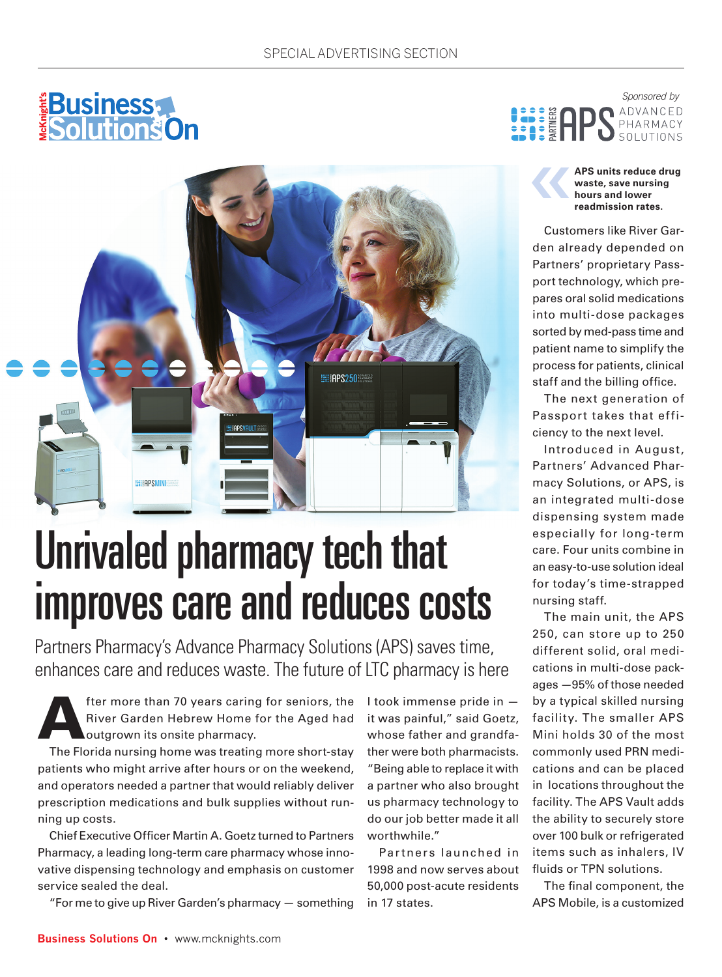



## Unrivaled pharmacy tech that improves care and reduces costs

Partners Pharmacy's Advance Pharmacy Solutions (APS) saves time, enhances care and reduces waste. The future of LTC pharmacy is here

fter more than 70 years caring for seniors, the River Garden Hebrew Home for the Aged had outgrown its onsite pharmacy.

The Florida nursing home was treating more short-stay patients who might arrive after hours or on the weekend, and operators needed a partner that would reliably deliver prescription medications and bulk supplies without running up costs.

Chief Executive Officer Martin A. Goetz turned to Partners Pharmacy, a leading long-term care pharmacy whose innovative dispensing technology and emphasis on customer service sealed the deal.

"For me to give up River Garden's pharmacy — something

I took immense pride in it was painful," said Goetz, whose father and grandfather were both pharmacists. "Being able to replace it with a partner who also brought us pharmacy technology to do our job better made it all worthwhile."

Par tners launched in 1998 and now serves about 50,000 post-acute residents in 17 states.

*Sponsored by* **ADVANCED** PHARMACY

> ‹‹ **APS units reduce drug waste, save nursing hours and lower readmission rates.**

Customers like River Garden already depended on Partners' proprietary Passport technology, which prepares oral solid medications into multi-dose packages sorted by med-pass time and patient name to simplify the process for patients, clinical staff and the billing office.

The next generation of Passport takes that efficiency to the next level.

Introduced in August, Partners' Advanced Pharmacy Solutions, or APS, is an integrated multi-dose dispensing system made especially for long-term care. Four units combine in an easy-to-use solution ideal for today's time-strapped nursing staff.

The main unit, the APS 250, can store up to 250 different solid, oral medications in multi-dose packages —95% of those needed by a typical skilled nursing facility. The smaller APS Mini holds 30 of the most commonly used PRN medications and can be placed in locations throughout the facility. The APS Vault adds the ability to securely store over 100 bulk or refrigerated items such as inhalers, IV fluids or TPN solutions.

The final component, the APS Mobile, is a customized